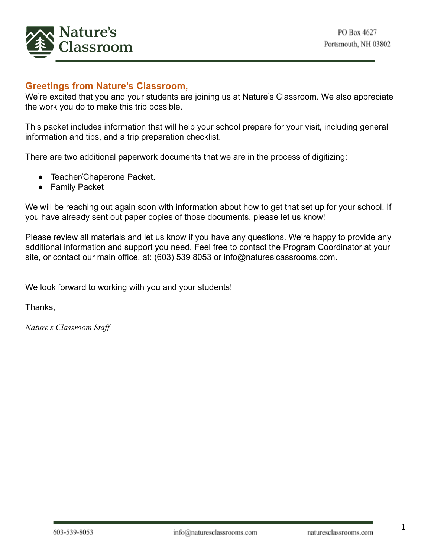

# **Greetings from Nature's Classroom,**

We're excited that you and your students are joining us at Nature's Classroom. We also appreciate the work you do to make this trip possible.

This packet includes information that will help your school prepare for your visit, including general information and tips, and a trip preparation checklist.

There are two additional paperwork documents that we are in the process of digitizing:

- Teacher/Chaperone Packet.
- Family Packet

We will be reaching out again soon with information about how to get that set up for your school. If you have already sent out paper copies of those documents, please let us know!

Please review all materials and let us know if you have any questions. We're happy to provide any additional information and support you need. Feel free to contact the Program Coordinator at your site, or contact our main office, at: (603) 539 8053 or info@natureslcassrooms.com.

We look forward to working with you and your students!

Thanks,

*Nature's Classroom Staff*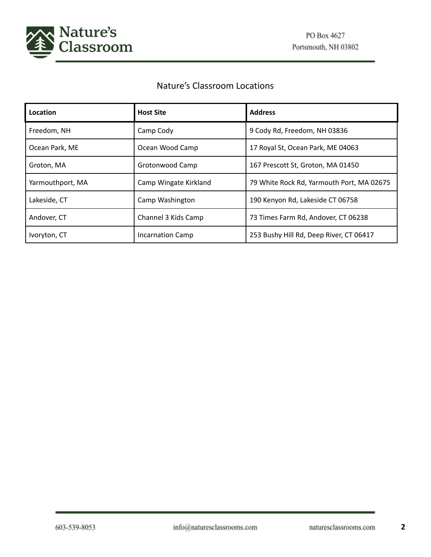

# Nature's Classroom Locations

| Location         | <b>Host Site</b>        | <b>Address</b>                            |
|------------------|-------------------------|-------------------------------------------|
| Freedom, NH      | Camp Cody               | 9 Cody Rd, Freedom, NH 03836              |
| Ocean Park, ME   | Ocean Wood Camp         | 17 Royal St, Ocean Park, ME 04063         |
| Groton, MA       | Grotonwood Camp         | 167 Prescott St, Groton, MA 01450         |
| Yarmouthport, MA | Camp Wingate Kirkland   | 79 White Rock Rd, Yarmouth Port, MA 02675 |
| Lakeside, CT     | Camp Washington         | 190 Kenyon Rd, Lakeside CT 06758          |
| Andover, CT      | Channel 3 Kids Camp     | 73 Times Farm Rd, Andover, CT 06238       |
| Ivoryton, CT     | <b>Incarnation Camp</b> | 253 Bushy Hill Rd, Deep River, CT 06417   |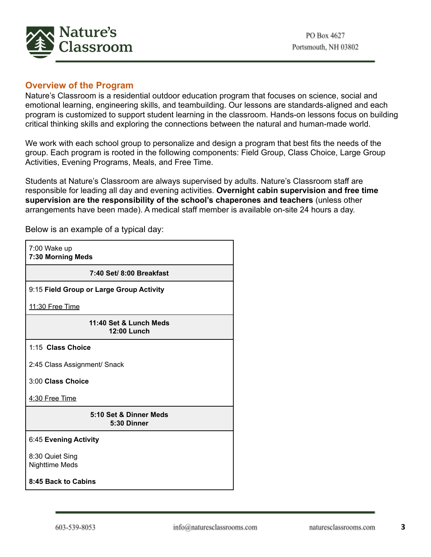

#### **Overview of the Program**

Nature's Classroom is a residential outdoor education program that focuses on science, social and emotional learning, engineering skills, and teambuilding. Our lessons are standards-aligned and each program is customized to support student learning in the classroom. Hands-on lessons focus on building critical thinking skills and exploring the connections between the natural and human-made world.

We work with each school group to personalize and design a program that best fits the needs of the group. Each program is rooted in the following components: Field Group, Class Choice, Large Group Activities, Evening Programs, Meals, and Free Time.

Students at Nature's Classroom are always supervised by adults. Nature's Classroom staff are responsible for leading all day and evening activities. **Overnight cabin supervision and free time supervision are the responsibility of the school's chaperones and teachers** (unless other arrangements have been made). A medical staff member is available on-site 24 hours a day.

7:00 Wake up **7:30 Morning Meds 7:40 Set/ 8:00 Breakfast** 9:15 **Field Group or Large Group Activity** 11:30 Free Time **11:40 Set & Lunch Meds 12:00 Lunch** 1:15 **Class Choice** 2:45 Class Assignment/ Snack 3:00 **Class Choice** 4:30 Free Time **5:10 Set & Dinner Meds 5:30 Dinner** 6:45 **Evening Activity** 8:30 Quiet Sing Nighttime Meds **8:45 Back to Cabins**

Below is an example of a typical day: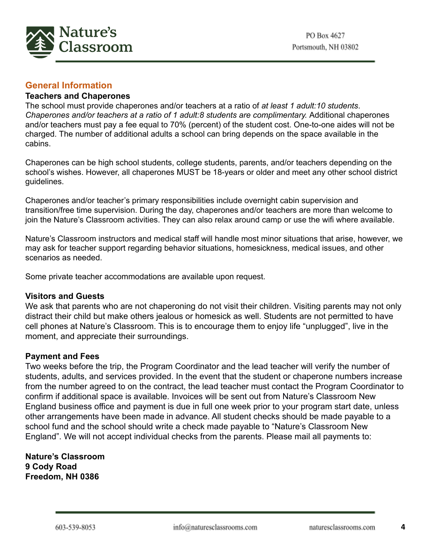

# **General Information**

#### **Teachers and Chaperones**

The school must provide chaperones and/or teachers at a ratio of *at least 1 adult:10 students*. *Chaperones and/or teachers at a ratio of 1 adult:8 students are complimentary.* Additional chaperones and/or teachers must pay a fee equal to 70% (percent) of the student cost. One-to-one aides will not be charged. The number of additional adults a school can bring depends on the space available in the cabins.

Chaperones can be high school students, college students, parents, and/or teachers depending on the school's wishes. However, all chaperones MUST be 18-years or older and meet any other school district guidelines.

Chaperones and/or teacher's primary responsibilities include overnight cabin supervision and transition/free time supervision. During the day, chaperones and/or teachers are more than welcome to join the Nature's Classroom activities. They can also relax around camp or use the wifi where available.

Nature's Classroom instructors and medical staff will handle most minor situations that arise, however, we may ask for teacher support regarding behavior situations, homesickness, medical issues, and other scenarios as needed.

Some private teacher accommodations are available upon request.

#### **Visitors and Guests**

We ask that parents who are not chaperoning do not visit their children. Visiting parents may not only distract their child but make others jealous or homesick as well. Students are not permitted to have cell phones at Nature's Classroom. This is to encourage them to enjoy life "unplugged", live in the moment, and appreciate their surroundings.

#### **Payment and Fees**

Two weeks before the trip, the Program Coordinator and the lead teacher will verify the number of students, adults, and services provided. In the event that the student or chaperone numbers increase from the number agreed to on the contract, the lead teacher must contact the Program Coordinator to confirm if additional space is available. Invoices will be sent out from Nature's Classroom New England business office and payment is due in full one week prior to your program start date, unless other arrangements have been made in advance. All student checks should be made payable to a school fund and the school should write a check made payable to "Nature's Classroom New England". We will not accept individual checks from the parents. Please mail all payments to:

**Nature's Classroom 9 Cody Road Freedom, NH 0386**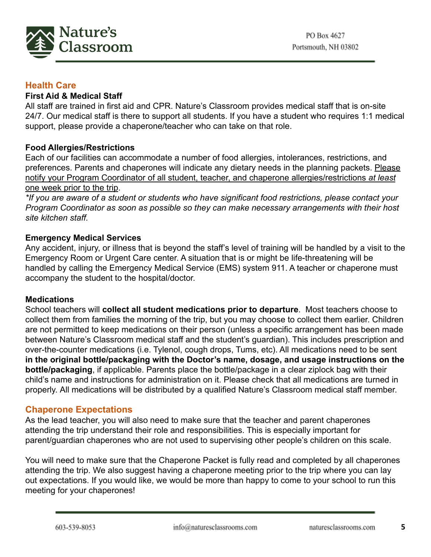

#### **Health Care**

#### **First Aid & Medical Staff**

All staff are trained in first aid and CPR. Nature's Classroom provides medical staff that is on-site 24/7. Our medical staff is there to support all students. If you have a student who requires 1:1 medical support, please provide a chaperone/teacher who can take on that role.

## **Food Allergies/Restrictions**

Each of our facilities can accommodate a number of food allergies, intolerances, restrictions, and preferences. Parents and chaperones will indicate any dietary needs in the planning packets. Please notify your Program Coordinator of all student, teacher, and chaperone allergies/restrictions *at least* one week prior to the trip.

*\*If you are aware of a student or students who have significant food restrictions, please contact your Program Coordinator as soon as possible so they can make necessary arrangements with their host site kitchen staff.*

#### **Emergency Medical Services**

Any accident, injury, or illness that is beyond the staff's level of training will be handled by a visit to the Emergency Room or Urgent Care center. A situation that is or might be life-threatening will be handled by calling the Emergency Medical Service (EMS) system 911. A teacher or chaperone must accompany the student to the hospital/doctor.

#### **Medications**

School teachers will **collect all student medications prior to departure**. Most teachers choose to collect them from families the morning of the trip, but you may choose to collect them earlier. Children are not permitted to keep medications on their person (unless a specific arrangement has been made between Nature's Classroom medical staff and the student's guardian). This includes prescription and over-the-counter medications (i.e. Tylenol, cough drops, Tums, etc). All medications need to be sent **in the original bottle/packaging with the Doctor's name, dosage, and usage instructions on the bottle/packaging**, if applicable. Parents place the bottle/package in a clear ziplock bag with their child's name and instructions for administration on it. Please check that all medications are turned in properly. All medications will be distributed by a qualified Nature's Classroom medical staff member.

#### **Chaperone Expectations**

As the lead teacher, you will also need to make sure that the teacher and parent chaperones attending the trip understand their role and responsibilities. This is especially important for parent/guardian chaperones who are not used to supervising other people's children on this scale.

You will need to make sure that the Chaperone Packet is fully read and completed by all chaperones attending the trip. We also suggest having a chaperone meeting prior to the trip where you can lay out expectations. If you would like, we would be more than happy to come to your school to run this meeting for your chaperones!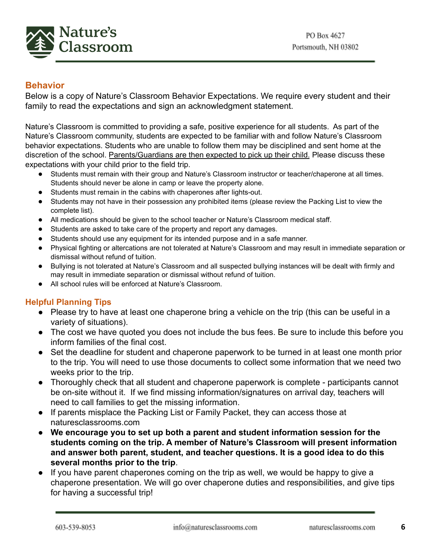

## **Behavior**

Below is a copy of Nature's Classroom Behavior Expectations. We require every student and their family to read the expectations and sign an acknowledgment statement.

Nature's Classroom is committed to providing a safe, positive experience for all students. As part of the Nature's Classroom community, students are expected to be familiar with and follow Nature's Classroom behavior expectations. Students who are unable to follow them may be disciplined and sent home at the discretion of the school. Parents/Guardians are then expected to pick up their child. Please discuss these expectations with your child prior to the field trip.

- Students must remain with their group and Nature's Classroom instructor or teacher/chaperone at all times. Students should never be alone in camp or leave the property alone.
- Students must remain in the cabins with chaperones after lights-out.
- Students may not have in their possession any prohibited items (please review the Packing List to view the complete list).
- All medications should be given to the school teacher or Nature's Classroom medical staff.
- Students are asked to take care of the property and report any damages.
- Students should use any equipment for its intended purpose and in a safe manner.
- Physical fighting or altercations are not tolerated at Nature's Classroom and may result in immediate separation or dismissal without refund of tuition.
- Bullying is not tolerated at Nature's Classroom and all suspected bullying instances will be dealt with firmly and may result in immediate separation or dismissal without refund of tuition.
- All school rules will be enforced at Nature's Classroom.

#### **Helpful Planning Tips**

- Please try to have at least one chaperone bring a vehicle on the trip (this can be useful in a variety of situations).
- The cost we have quoted you does not include the bus fees. Be sure to include this before you inform families of the final cost.
- Set the deadline for student and chaperone paperwork to be turned in at least one month prior to the trip. You will need to use those documents to collect some information that we need two weeks prior to the trip.
- Thoroughly check that all student and chaperone paperwork is complete participants cannot be on-site without it. If we find missing information/signatures on arrival day, teachers will need to call families to get the missing information.
- If parents misplace the Packing List or Family Packet, they can access those at naturesclassrooms.com
- **We encourage you to set up both a parent and student information session for the students coming on the trip. A member of Nature's Classroom will present information and answer both parent, student, and teacher questions. It is a good idea to do this several months prior to the trip**.
- If you have parent chaperones coming on the trip as well, we would be happy to give a chaperone presentation. We will go over chaperone duties and responsibilities, and give tips for having a successful trip!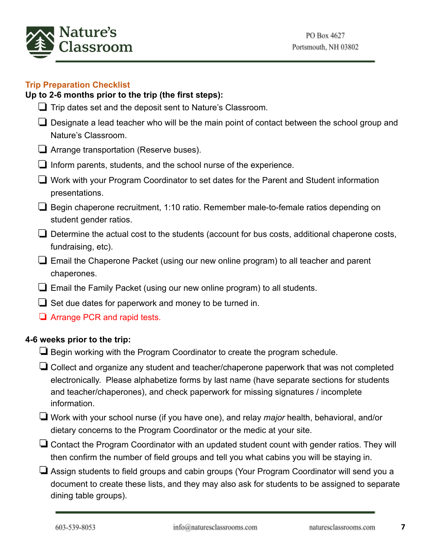

## **Trip Preparation Checklist**

#### **Up to 2-6 months prior to the trip (the first steps):**

- ❏ Trip dates set and the deposit sent to Nature's Classroom.
- ❏ Designate a lead teacher who will be the main point of contact between the school group and Nature's Classroom.
- ❏ Arrange transportation (Reserve buses).
- ❏ Inform parents, students, and the school nurse of the experience.
- ❏ Work with your Program Coordinator to set dates for the Parent and Student information presentations.
- ❏ Begin chaperone recruitment, 1:10 ratio. Remember male-to-female ratios depending on student gender ratios.
- ❏ Determine the actual cost to the students (account for bus costs, additional chaperone costs, fundraising, etc).
- ❏ Email the Chaperone Packet (using our new online program) to all teacher and parent chaperones.
- ❏ Email the Family Packet (using our new online program) to all students.
- $\Box$  Set due dates for paperwork and money to be turned in.
- ❏ Arrange PCR and rapid tests.

#### **4-6 weeks prior to the trip:**

- $\Box$  Begin working with the Program Coordinator to create the program schedule.
- ❏Collect and organize any student and teacher/chaperone paperwork that was not completed electronically. Please alphabetize forms by last name (have separate sections for students and teacher/chaperones), and check paperwork for missing signatures / incomplete information.
- ❏Work with your school nurse (if you have one), and relay *major* health, behavioral, and/or dietary concerns to the Program Coordinator or the medic at your site.
- ❏Contact the Program Coordinator with an updated student count with gender ratios. They will then confirm the number of field groups and tell you what cabins you will be staying in.
- ❏Assign students to field groups and cabin groups (Your Program Coordinator will send you a document to create these lists, and they may also ask for students to be assigned to separate dining table groups).